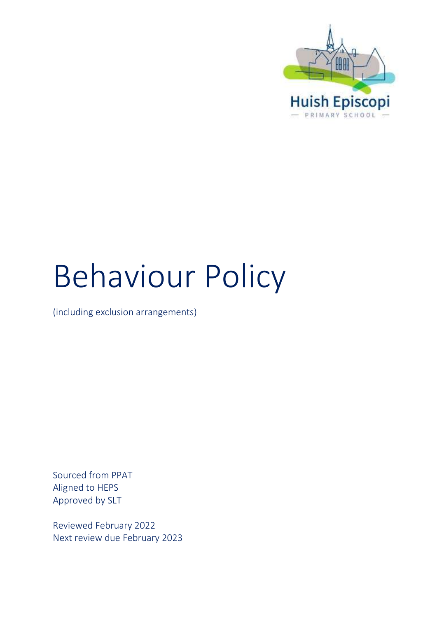

# Behaviour Policy

(including exclusion arrangements)

Sourced from PPAT Aligned to HEPS Approved by SLT

Reviewed February 2022 Next review due February 2023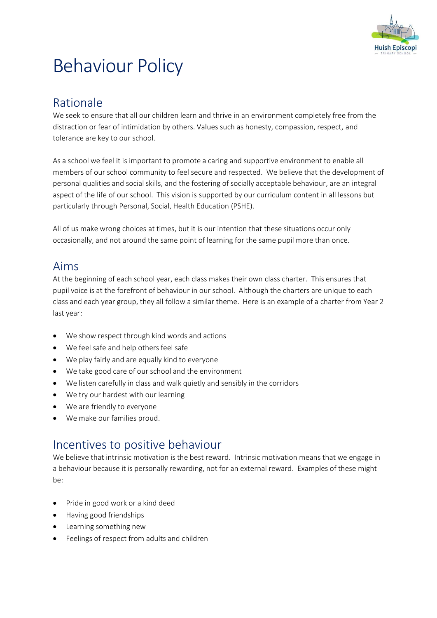

## Behaviour Policy

## Rationale

We seek to ensure that all our children learn and thrive in an environment completely free from the distraction or fear of intimidation by others. Values such as honesty, compassion, respect, and tolerance are key to our school.

As a school we feel it is important to promote a caring and supportive environment to enable all members of our school community to feel secure and respected. We believe that the development of personal qualities and social skills, and the fostering of socially acceptable behaviour, are an integral aspect of the life of our school. This vision is supported by our curriculum content in all lessons but particularly through Personal, Social, Health Education (PSHE).

All of us make wrong choices at times, but it is our intention that these situations occur only occasionally, and not around the same point of learning for the same pupil more than once.

## Aims

At the beginning of each school year, each class makes their own class charter. This ensures that pupil voice is at the forefront of behaviour in our school. Although the charters are unique to each class and each year group, they all follow a similar theme. Here is an example of a charter from Year 2 last year:

- We show respect through kind words and actions
- We feel safe and help others feel safe
- We play fairly and are equally kind to everyone
- We take good care of our school and the environment
- We listen carefully in class and walk quietly and sensibly in the corridors
- We try our hardest with our learning
- We are friendly to everyone
- We make our families proud.

## Incentives to positive behaviour

We believe that intrinsic motivation is the best reward. Intrinsic motivation means that we engage in a behaviour because it is personally rewarding, not for an external reward. Examples of these might be:

- Pride in good work or a kind deed
- Having good friendships
- Learning something new
- Feelings of respect from adults and children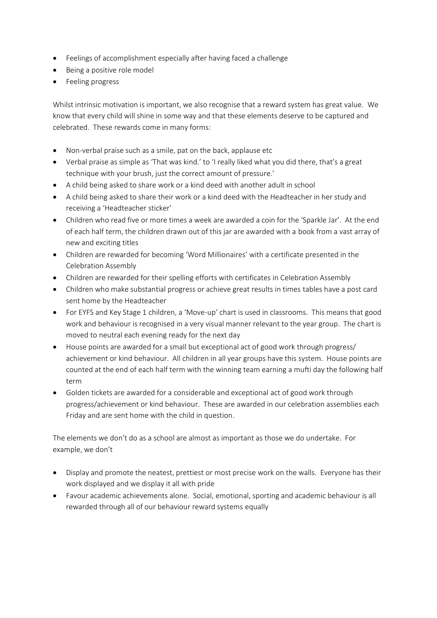- Feelings of accomplishment especially after having faced a challenge
- Being a positive role model
- Feeling progress

Whilst intrinsic motivation is important, we also recognise that a reward system has great value. We know that every child will shine in some way and that these elements deserve to be captured and celebrated. These rewards come in many forms:

- Non-verbal praise such as a smile, pat on the back, applause etc
- Verbal praise as simple as 'That was kind.' to 'I really liked what you did there, that's a great technique with your brush, just the correct amount of pressure.'
- A child being asked to share work or a kind deed with another adult in school
- A child being asked to share their work or a kind deed with the Headteacher in her study and receiving a 'Headteacher sticker'
- Children who read five or more times a week are awarded a coin for the 'Sparkle Jar'. At the end of each half term, the children drawn out of this jar are awarded with a book from a vast array of new and exciting titles
- Children are rewarded for becoming 'Word Millionaires' with a certificate presented in the Celebration Assembly
- Children are rewarded for their spelling efforts with certificates in Celebration Assembly
- Children who make substantial progress or achieve great results in times tables have a post card sent home by the Headteacher
- For EYFS and Key Stage 1 children, a 'Move-up' chart is used in classrooms. This means that good work and behaviour is recognised in a very visual manner relevant to the year group. The chart is moved to neutral each evening ready for the next day
- House points are awarded for a small but exceptional act of good work through progress/ achievement or kind behaviour. All children in all year groups have this system. House points are counted at the end of each half term with the winning team earning a mufti day the following half term
- Golden tickets are awarded for a considerable and exceptional act of good work through progress/achievement or kind behaviour. These are awarded in our celebration assemblies each Friday and are sent home with the child in question.

The elements we don't do as a school are almost as important as those we do undertake. For example, we don't

- Display and promote the neatest, prettiest or most precise work on the walls. Everyone has their work displayed and we display it all with pride
- Favour academic achievements alone. Social, emotional, sporting and academic behaviour is all rewarded through all of our behaviour reward systems equally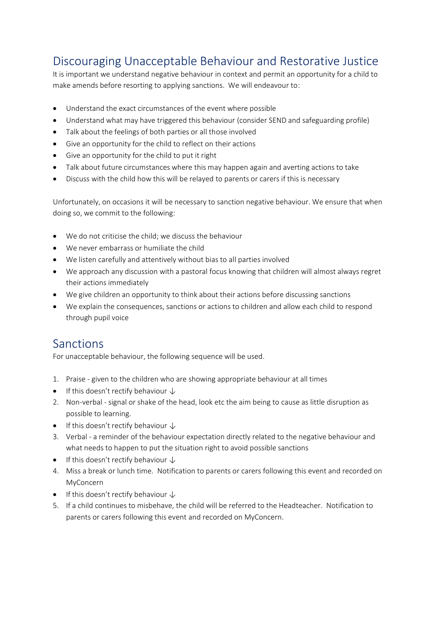## Discouraging Unacceptable Behaviour and Restorative Justice

It is important we understand negative behaviour in context and permit an opportunity for a child to make amends before resorting to applying sanctions. We will endeavour to:

- Understand the exact circumstances of the event where possible
- Understand what may have triggered this behaviour (consider SEND and safeguarding profile)
- Talk about the feelings of both parties or all those involved
- Give an opportunity for the child to reflect on their actions
- Give an opportunity for the child to put it right
- Talk about future circumstances where this may happen again and averting actions to take
- Discuss with the child how this will be relayed to parents or carers if this is necessary

Unfortunately, on occasions it will be necessary to sanction negative behaviour. We ensure that when doing so, we commit to the following:

- We do not criticise the child; we discuss the behaviour
- We never embarrass or humiliate the child
- We listen carefully and attentively without bias to all parties involved
- We approach any discussion with a pastoral focus knowing that children will almost always regret their actions immediately
- We give children an opportunity to think about their actions before discussing sanctions
- We explain the consequences, sanctions or actions to children and allow each child to respond through pupil voice

## Sanctions

For unacceptable behaviour, the following sequence will be used.

- 1. Praise given to the children who are showing appropriate behaviour at all times
- If this doesn't rectify behaviour  $\downarrow$
- 2. Non-verbal signal or shake of the head, look etc the aim being to cause as little disruption as possible to learning.
- If this doesn't rectify behaviour  $\downarrow$
- 3. Verbal a reminder of the behaviour expectation directly related to the negative behaviour and what needs to happen to put the situation right to avoid possible sanctions
- If this doesn't rectify behaviour  $\downarrow$
- 4. Miss a break or lunch time. Notification to parents or carers following this event and recorded on MyConcern
- If this doesn't rectify behaviour  $\downarrow$
- 5. If a child continues to misbehave, the child will be referred to the Headteacher. Notification to parents or carers following this event and recorded on MyConcern.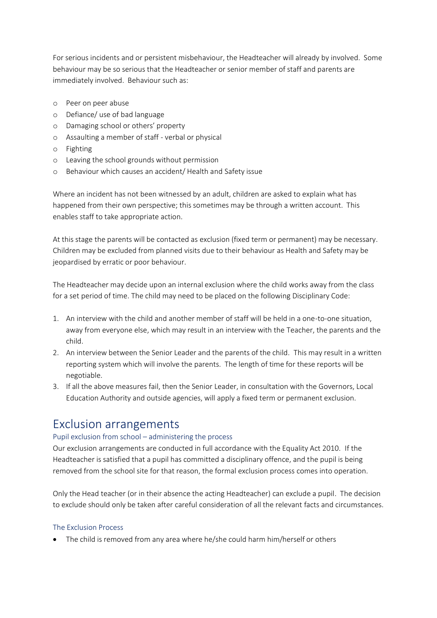For serious incidents and or persistent misbehaviour, the Headteacher will already by involved. Some behaviour may be so serious that the Headteacher or senior member of staff and parents are immediately involved. Behaviour such as:

- o Peer on peer abuse
- o Defiance/ use of bad language
- o Damaging school or others' property
- o Assaulting a member of staff verbal or physical
- o Fighting
- o Leaving the school grounds without permission
- o Behaviour which causes an accident/ Health and Safety issue

Where an incident has not been witnessed by an adult, children are asked to explain what has happened from their own perspective; this sometimes may be through a written account. This enables staff to take appropriate action.

At this stage the parents will be contacted as exclusion (fixed term or permanent) may be necessary. Children may be excluded from planned visits due to their behaviour as Health and Safety may be jeopardised by erratic or poor behaviour.

The Headteacher may decide upon an internal exclusion where the child works away from the class for a set period of time. The child may need to be placed on the following Disciplinary Code:

- 1. An interview with the child and another member of staff will be held in a one-to-one situation, away from everyone else, which may result in an interview with the Teacher, the parents and the child.
- 2. An interview between the Senior Leader and the parents of the child. This may result in a written reporting system which will involve the parents. The length of time for these reports will be negotiable.
- 3. If all the above measures fail, then the Senior Leader, in consultation with the Governors, Local Education Authority and outside agencies, will apply a fixed term or permanent exclusion.

## Exclusion arrangements

#### Pupil exclusion from school – administering the process

Our exclusion arrangements are conducted in full accordance with the Equality Act 2010. If the Headteacher is satisfied that a pupil has committed a disciplinary offence, and the pupil is being removed from the school site for that reason, the formal exclusion process comes into operation.

Only the Head teacher (or in their absence the acting Headteacher) can exclude a pupil. The decision to exclude should only be taken after careful consideration of all the relevant facts and circumstances.

#### The Exclusion Process

• The child is removed from any area where he/she could harm him/herself or others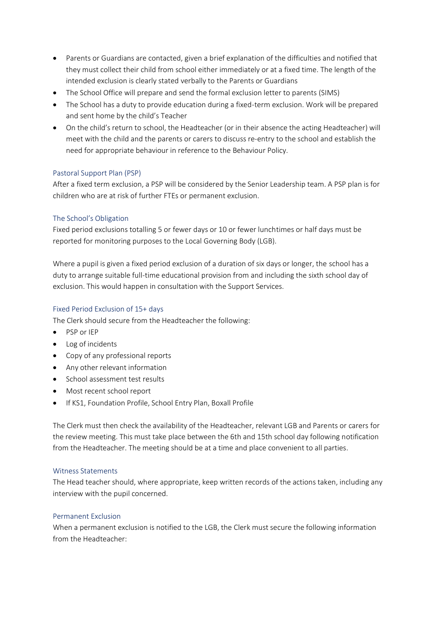- Parents or Guardians are contacted, given a brief explanation of the difficulties and notified that they must collect their child from school either immediately or at a fixed time. The length of the intended exclusion is clearly stated verbally to the Parents or Guardians
- The School Office will prepare and send the formal exclusion letter to parents (SIMS)
- The School has a duty to provide education during a fixed-term exclusion. Work will be prepared and sent home by the child's Teacher
- On the child's return to school, the Headteacher (or in their absence the acting Headteacher) will meet with the child and the parents or carers to discuss re-entry to the school and establish the need for appropriate behaviour in reference to the Behaviour Policy.

#### Pastoral Support Plan (PSP)

After a fixed term exclusion, a PSP will be considered by the Senior Leadership team. A PSP plan is for children who are at risk of further FTEs or permanent exclusion.

#### The School's Obligation

Fixed period exclusions totalling 5 or fewer days or 10 or fewer lunchtimes or half days must be reported for monitoring purposes to the Local Governing Body (LGB).

Where a pupil is given a fixed period exclusion of a duration of six days or longer, the school has a duty to arrange suitable full-time educational provision from and including the sixth school day of exclusion. This would happen in consultation with the Support Services.

#### Fixed Period Exclusion of 15+ days

The Clerk should secure from the Headteacher the following:

- PSP or IEP
- Log of incidents
- Copy of any professional reports
- Any other relevant information
- School assessment test results
- Most recent school report
- If KS1, Foundation Profile, School Entry Plan, Boxall Profile

The Clerk must then check the availability of the Headteacher, relevant LGB and Parents or carers for the review meeting. This must take place between the 6th and 15th school day following notification from the Headteacher. The meeting should be at a time and place convenient to all parties.

#### Witness Statements

The Head teacher should, where appropriate, keep written records of the actions taken, including any interview with the pupil concerned.

#### Permanent Exclusion

When a permanent exclusion is notified to the LGB, the Clerk must secure the following information from the Headteacher: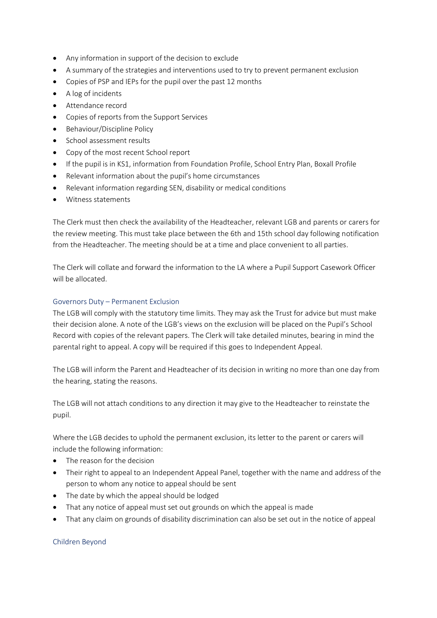- Any information in support of the decision to exclude
- A summary of the strategies and interventions used to try to prevent permanent exclusion
- Copies of PSP and IEPs for the pupil over the past 12 months
- A log of incidents
- Attendance record
- Copies of reports from the Support Services
- Behaviour/Discipline Policy
- School assessment results
- Copy of the most recent School report
- If the pupil is in KS1, information from Foundation Profile, School Entry Plan, Boxall Profile
- Relevant information about the pupil's home circumstances
- Relevant information regarding SEN, disability or medical conditions
- Witness statements

The Clerk must then check the availability of the Headteacher, relevant LGB and parents or carers for the review meeting. This must take place between the 6th and 15th school day following notification from the Headteacher. The meeting should be at a time and place convenient to all parties.

The Clerk will collate and forward the information to the LA where a Pupil Support Casework Officer will be allocated.

#### Governors Duty – Permanent Exclusion

The LGB will comply with the statutory time limits. They may ask the Trust for advice but must make their decision alone. A note of the LGB's views on the exclusion will be placed on the Pupil's School Record with copies of the relevant papers. The Clerk will take detailed minutes, bearing in mind the parental right to appeal. A copy will be required if this goes to Independent Appeal.

The LGB will inform the Parent and Headteacher of its decision in writing no more than one day from the hearing, stating the reasons.

The LGB will not attach conditions to any direction it may give to the Headteacher to reinstate the pupil.

Where the LGB decides to uphold the permanent exclusion, its letter to the parent or carers will include the following information:

- The reason for the decision
- Their right to appeal to an Independent Appeal Panel, together with the name and address of the person to whom any notice to appeal should be sent
- The date by which the appeal should be lodged
- That any notice of appeal must set out grounds on which the appeal is made
- That any claim on grounds of disability discrimination can also be set out in the notice of appeal

#### Children Beyond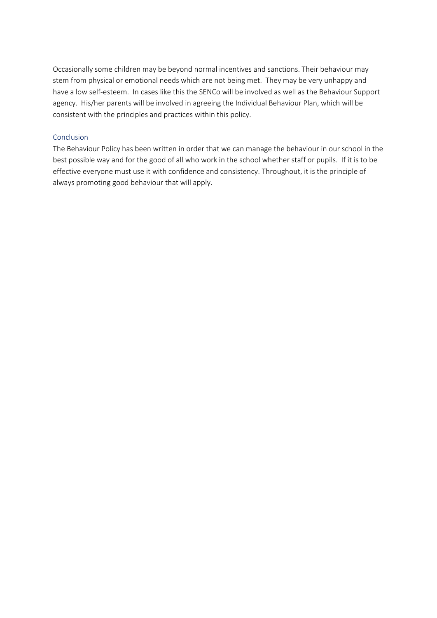Occasionally some children may be beyond normal incentives and sanctions. Their behaviour may stem from physical or emotional needs which are not being met. They may be very unhappy and have a low self-esteem. In cases like this the SENCo will be involved as well as the Behaviour Support agency. His/her parents will be involved in agreeing the Individual Behaviour Plan, which will be consistent with the principles and practices within this policy.

#### **Conclusion**

The Behaviour Policy has been written in order that we can manage the behaviour in our school in the best possible way and for the good of all who work in the school whether staff or pupils. If it is to be effective everyone must use it with confidence and consistency. Throughout, it is the principle of always promoting good behaviour that will apply.